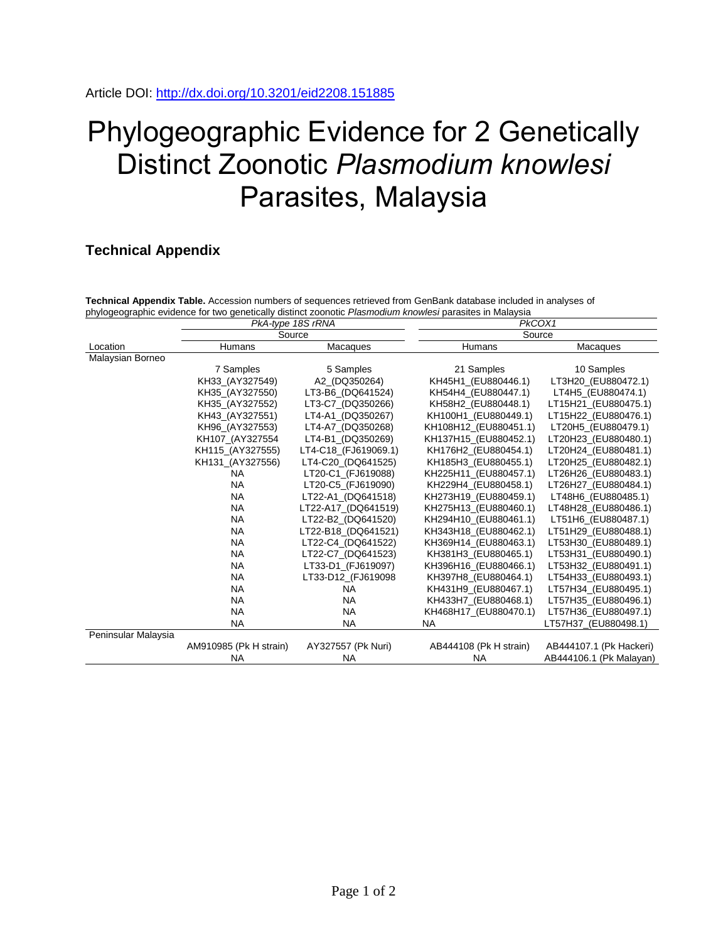## Phylogeographic Evidence for 2 Genetically Distinct Zoonotic *Plasmodium knowlesi* Parasites, Malaysia

## **Technical Appendix**

**Technical Appendix Table.** Accession numbers of sequences retrieved from GenBank database included in analyses of phylogeographic evidence for two genetically distinct zoonotic *Plasmodium knowlesi* parasites in Malaysia

|                     | PkA-type 18S rRNA<br>Source |                      | PkCOX1                 |                         |
|---------------------|-----------------------------|----------------------|------------------------|-------------------------|
|                     |                             |                      | Source                 |                         |
| Location            | Humans                      | Macaques             | Humans                 | Macaques                |
| Malaysian Borneo    |                             |                      |                        |                         |
|                     | 7 Samples                   | 5 Samples            | 21 Samples             | 10 Samples              |
|                     | KH33_(AY327549)             | A2 (DQ350264)        | KH45H1_(EU880446.1)    | LT3H20_(EU880472.1)     |
|                     | KH35_(AY327550)             | LT3-B6 (DQ641524)    | KH54H4 (EU880447.1)    | LT4H5 (EU880474.1)      |
|                     | KH35 (AY327552)             | LT3-C7_(DQ350266)    | KH58H2 (EU880448.1)    | LT15H21_(EU880475.1)    |
|                     | KH43 (AY327551)             | LT4-A1 (DQ350267)    | KH100H1 (EU880449.1)   | LT15H22 (EU880476.1)    |
|                     | KH96_(AY327553)             | LT4-A7_(DQ350268)    | KH108H12_(EU880451.1)  | LT20H5_(EU880479.1)     |
|                     | KH107_(AY327554             | LT4-B1_(DQ350269)    | KH137H15_(EU880452.1)  | LT20H23_(EU880480.1)    |
|                     | KH115 (AY327555)            | LT4-C18_(FJ619069.1) | KH176H2_(EU880454.1)   | LT20H24_(EU880481.1)    |
|                     | KH131 (AY327556)            | LT4-C20 (DQ641525)   | KH185H3 (EU880455.1)   | LT20H25 (EU880482.1)    |
|                     | <b>NA</b>                   | LT20-C1_(FJ619088)   | KH225H11_(EU880457.1)  | LT26H26_(EU880483.1)    |
|                     | <b>NA</b>                   | LT20-C5_(FJ619090)   | KH229H4_(EU880458.1)   | LT26H27_(EU880484.1)    |
|                     | <b>NA</b>                   | LT22-A1 (DQ641518)   | KH273H19 (EU880459.1)  | LT48H6_(EU880485.1)     |
|                     | <b>NA</b>                   | LT22-A17 (DQ641519)  | KH275H13 (EU880460.1)  | LT48H28 (EU880486.1)    |
|                     | <b>NA</b>                   | LT22-B2 (DQ641520)   | KH294H10 (EU880461.1)  | LT51H6 (EU880487.1)     |
|                     | <b>NA</b>                   | LT22-B18_(DQ641521)  | KH343H18_(EU880462.1)  | LT51H29_(EU880488.1)    |
|                     | <b>NA</b>                   | LT22-C4_(DQ641522)   | KH369H14_(EU880463.1)  | LT53H30_(EU880489.1)    |
|                     | <b>NA</b>                   | LT22-C7 (DQ641523)   | KH381H3 (EU880465.1)   | LT53H31 (EU880490.1)    |
|                     | <b>NA</b>                   | LT33-D1 (FJ619097)   | KH396H16 (EU880466.1)  | LT53H32 (EU880491.1)    |
|                     | <b>NA</b>                   | LT33-D12_(FJ619098   | KH397H8 (EU880464.1)   | LT54H33 (EU880493.1)    |
|                     | <b>NA</b>                   | <b>NA</b>            | KH431H9 (EU880467.1)   | LT57H34 (EU880495.1)    |
|                     | <b>NA</b>                   | <b>NA</b>            | KH433H7_(EU880468.1)   | LT57H35_(EU880496.1)    |
|                     | <b>NA</b>                   | <b>NA</b>            | KH468H17 (EU880470.1)  | LT57H36_(EU880497.1)    |
|                     | <b>NA</b>                   | <b>NA</b>            | <b>NA</b>              | LT57H37_(EU880498.1)    |
| Peninsular Malaysia |                             |                      |                        |                         |
|                     | AM910985 (Pk H strain)      | AY327557 (Pk Nuri)   | AB444108 (Pk H strain) | AB444107.1 (Pk Hackeri) |
|                     | <b>NA</b>                   | <b>NA</b>            | <b>NA</b>              | AB444106.1 (Pk Malayan) |